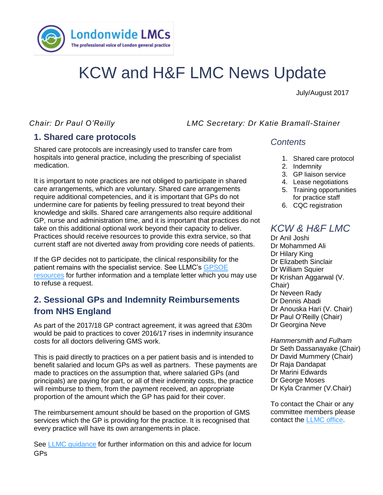

# KCW and H&F LMC News Update

July/August 2017

*Chair: Dr Paul O'Reilly LMC Secretary: Dr Katie Bramall-Stainer*

## **1. Shared care protocols**

medication. Shared care protocols are increasingly used to transfer care from hospitals into general practice, including the prescribing of specialist

It is important to note practices are not obliged to participate in shared care arrangements, which are voluntary. Shared care arrangements require additional competencies, and it is important that GPs do not undermine care for patients by feeling pressured to treat beyond their knowledge and skills. Shared care arrangements also require additional GP, nurse and administration time, and it is important that practices do not take on this additional optional work beyond their capacity to deliver. Practices should receive resources to provide this extra service, so that current staff are not diverted away from providing core needs of patients.

If the GP decides not to participate, the clinical responsibility for the patient remains with the specialist service. See LLMC's [GPSOE](https://gpsoe.org.uk/assets/Shared%20Care%20Protocols.pdf)  [resources](https://gpsoe.org.uk/assets/Shared%20Care%20Protocols.pdf) for further information and a template letter which you may use to refuse a request.

## **2. Sessional GPs and Indemnity Reimbursements from NHS England**

As part of the 2017/18 GP contract agreement, it was agreed that £30m would be paid to practices to cover 2016/17 rises in indemnity insurance costs for all doctors delivering GMS work.

This is paid directly to practices on a per patient basis and is intended to benefit salaried and locum GPs as well as partners. These payments are made to practices on the assumption that, where salaried GPs (and principals) are paying for part, or all of their indemnity costs, the practice will reimburse to them, from the payment received, an appropriate proportion of the amount which the GP has paid for their cover.

The reimbursement amount should be based on the proportion of GMS services which the GP is providing for the practice. It is recognised that every practice will have its own arrangements in place.

See [LLMC guidance](https://www.lmc.org.uk/visageimages/LLMC%20MDO%20Reimbursement%20%20Sessional%20GPs%20-%20July%202017.pdf) for further information on this and advice for locum GPs

#### *Contents*

- 1. Shared care protocol
- 2. Indemnity
- 3. GP liaison service
- 4. Lease negotiations
- 5. Training opportunities for practice staff
- 6. CQC registration

## *KCW & H&F LMC*

Dr Anil Joshi Dr Mohammed Ali Dr Hilary King Dr Elizabeth Sinclair Dr William Squier Dr Krishan Aggarwal (V. Chair) Dr Neveen Rady Dr Dennis Abadi Dr Anouska Hari (V. Chair) Dr Paul O'Reilly (Chair) Dr Georgina Neve

*Hammersmith and Fulham*  Dr Seth Dassanayake (Chair) Dr David Mummery (Chair) Dr Raja Dandapat Dr Marini Edwards Dr George Moses Dr Kyla Cranmer (V.Chair)

To contact the Chair or any committee members please contact the [LLMC office.](mailto:james.winstanley@lmc.org.uk)